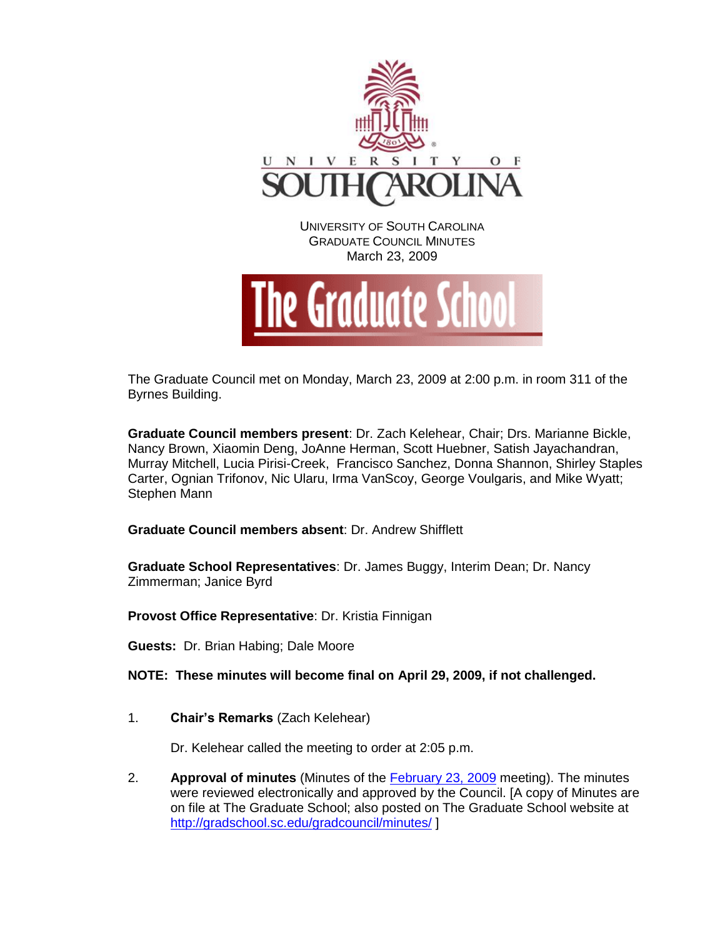

The Graduate Council met on Monday, March 23, 2009 at 2:00 p.m. in room 311 of the Byrnes Building.

**Graduate Council members present**: Dr. Zach Kelehear, Chair; Drs. Marianne Bickle, Nancy Brown, Xiaomin Deng, JoAnne Herman, Scott Huebner, Satish Jayachandran, Murray Mitchell, Lucia Pirisi-Creek, Francisco Sanchez, Donna Shannon, Shirley Staples Carter, Ognian Trifonov, Nic Ularu, Irma VanScoy, George Voulgaris, and Mike Wyatt; Stephen Mann

**Graduate Council members absent**: Dr. Andrew Shifflett

**Graduate School Representatives**: Dr. James Buggy, Interim Dean; Dr. Nancy Zimmerman; Janice Byrd

**Provost Office Representative**: Dr. Kristia Finnigan

**Guests:** Dr. Brian Habing; Dale Moore

**NOTE: These minutes will become final on April 29, 2009, if not challenged.**

1. **Chair's Remarks** (Zach Kelehear)

Dr. Kelehear called the meeting to order at 2:05 p.m.

2. **Approval of minutes** (Minutes of the [February 23, 2009](http://gradschool.sc.edu/gradcouncil/docs/GCMinutes%20022309.pdf) meeting). The minutes were reviewed electronically and approved by the Council. [A copy of Minutes are on file at The Graduate School; also posted on The Graduate School website at <http://gradschool.sc.edu/gradcouncil/minutes/> ]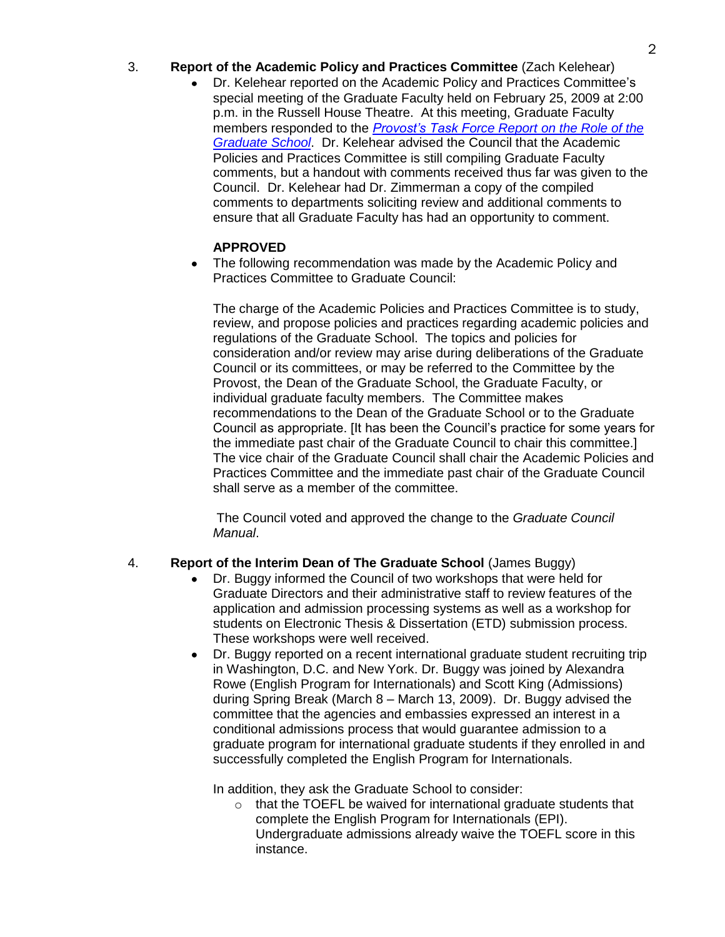## 3. **Report of the Academic Policy and Practices Committee** (Zach Kelehear)

Dr. Kelehear reported on the Academic Policy and Practices Committee's special meeting of the Graduate Faculty held on February 25, 2009 at 2:00 p.m. in the Russell House Theatre. At this meeting, Graduate Faculty members responded to the *[Provost's Task Force Report on the Role of the](http://www.gradschool.sc.edu/facstaff/RoleofUSCGraduateSchool.pdf)  [Graduate School](http://www.gradschool.sc.edu/facstaff/RoleofUSCGraduateSchool.pdf)*. Dr. Kelehear advised the Council that the Academic Policies and Practices Committee is still compiling Graduate Faculty comments, but a handout with comments received thus far was given to the Council. Dr. Kelehear had Dr. Zimmerman a copy of the compiled comments to departments soliciting review and additional comments to ensure that all Graduate Faculty has had an opportunity to comment.

## **APPROVED**

The following recommendation was made by the Academic Policy and Practices Committee to Graduate Council:

The charge of the Academic Policies and Practices Committee is to study, review, and propose policies and practices regarding academic policies and regulations of the Graduate School. The topics and policies for consideration and/or review may arise during deliberations of the Graduate Council or its committees, or may be referred to the Committee by the Provost, the Dean of the Graduate School, the Graduate Faculty, or individual graduate faculty members. The Committee makes recommendations to the Dean of the Graduate School or to the Graduate Council as appropriate. [It has been the Council's practice for some years for the immediate past chair of the Graduate Council to chair this committee.] The vice chair of the Graduate Council shall chair the Academic Policies and Practices Committee and the immediate past chair of the Graduate Council shall serve as a member of the committee.

The Council voted and approved the change to the *Graduate Council Manual*.

## 4. **Report of the Interim Dean of The Graduate School** (James Buggy)

- Dr. Buggy informed the Council of two workshops that were held for Graduate Directors and their administrative staff to review features of the application and admission processing systems as well as a workshop for students on Electronic Thesis & Dissertation (ETD) submission process. These workshops were well received.
- Dr. Buggy reported on a recent international graduate student recruiting trip in Washington, D.C. and New York. Dr. Buggy was joined by Alexandra Rowe (English Program for Internationals) and Scott King (Admissions) during Spring Break (March 8 – March 13, 2009). Dr. Buggy advised the committee that the agencies and embassies expressed an interest in a conditional admissions process that would guarantee admission to a graduate program for international graduate students if they enrolled in and successfully completed the English Program for Internationals.

In addition, they ask the Graduate School to consider:

 $\circ$  that the TOEFL be waived for international graduate students that complete the English Program for Internationals (EPI). Undergraduate admissions already waive the TOEFL score in this instance.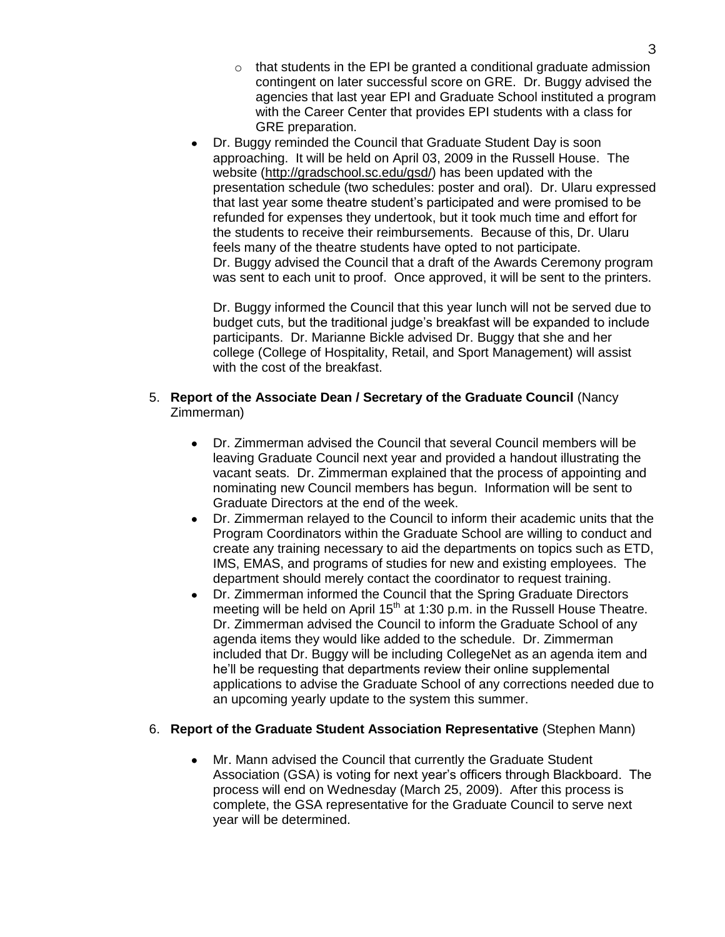- $\circ$  that students in the EPI be granted a conditional graduate admission contingent on later successful score on GRE. Dr. Buggy advised the agencies that last year EPI and Graduate School instituted a program with the Career Center that provides EPI students with a class for GRE preparation.
- Dr. Buggy reminded the Council that Graduate Student Day is soon approaching. It will be held on April 03, 2009 in the Russell House. The website [\(http://gradschool.sc.edu/gsd/\)](http://gradschool.sc.edu/gsd/) has been updated with the presentation schedule (two schedules: poster and oral). Dr. Ularu expressed that last year some theatre student's participated and were promised to be refunded for expenses they undertook, but it took much time and effort for the students to receive their reimbursements. Because of this, Dr. Ularu feels many of the theatre students have opted to not participate. Dr. Buggy advised the Council that a draft of the Awards Ceremony program was sent to each unit to proof. Once approved, it will be sent to the printers.

Dr. Buggy informed the Council that this year lunch will not be served due to budget cuts, but the traditional judge's breakfast will be expanded to include participants. Dr. Marianne Bickle advised Dr. Buggy that she and her college (College of Hospitality, Retail, and Sport Management) will assist with the cost of the breakfast.

## 5. **Report of the Associate Dean / Secretary of the Graduate Council** (Nancy Zimmerman)

- Dr. Zimmerman advised the Council that several Council members will be leaving Graduate Council next year and provided a handout illustrating the vacant seats. Dr. Zimmerman explained that the process of appointing and nominating new Council members has begun. Information will be sent to Graduate Directors at the end of the week.
- Dr. Zimmerman relayed to the Council to inform their academic units that the Program Coordinators within the Graduate School are willing to conduct and create any training necessary to aid the departments on topics such as ETD, IMS, EMAS, and programs of studies for new and existing employees. The department should merely contact the coordinator to request training.
- Dr. Zimmerman informed the Council that the Spring Graduate Directors meeting will be held on April  $15<sup>th</sup>$  at 1:30 p.m. in the Russell House Theatre. Dr. Zimmerman advised the Council to inform the Graduate School of any agenda items they would like added to the schedule. Dr. Zimmerman included that Dr. Buggy will be including CollegeNet as an agenda item and he'll be requesting that departments review their online supplemental applications to advise the Graduate School of any corrections needed due to an upcoming yearly update to the system this summer.

## 6. **Report of the Graduate Student Association Representative** (Stephen Mann)

Mr. Mann advised the Council that currently the Graduate Student Association (GSA) is voting for next year's officers through Blackboard. The process will end on Wednesday (March 25, 2009). After this process is complete, the GSA representative for the Graduate Council to serve next year will be determined.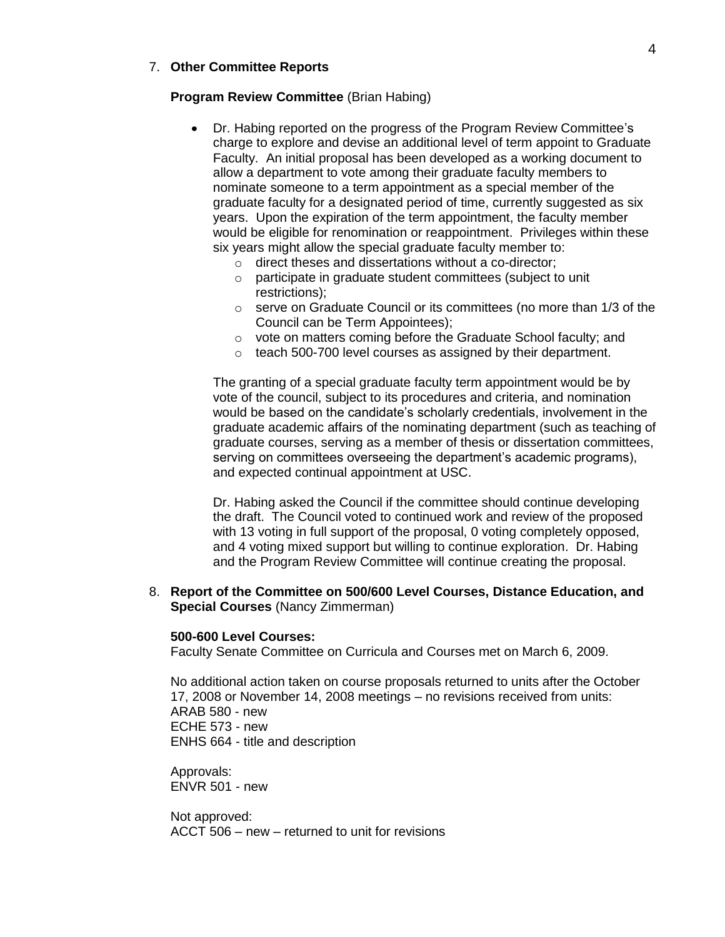## 7. **Other Committee Reports**

## **Program Review Committee** (Brian Habing)

- Dr. Habing reported on the progress of the Program Review Committee's charge to explore and devise an additional level of term appoint to Graduate Faculty. An initial proposal has been developed as a working document to allow a department to vote among their graduate faculty members to nominate someone to a term appointment as a special member of the graduate faculty for a designated period of time, currently suggested as six years. Upon the expiration of the term appointment, the faculty member would be eligible for renomination or reappointment. Privileges within these six years might allow the special graduate faculty member to:
	- o direct theses and dissertations without a co-director;
	- o participate in graduate student committees (subject to unit restrictions);
	- o serve on Graduate Council or its committees (no more than 1/3 of the Council can be Term Appointees);
	- o vote on matters coming before the Graduate School faculty; and
	- o teach 500-700 level courses as assigned by their department.

The granting of a special graduate faculty term appointment would be by vote of the council, subject to its procedures and criteria, and nomination would be based on the candidate's scholarly credentials, involvement in the graduate academic affairs of the nominating department (such as teaching of graduate courses, serving as a member of thesis or dissertation committees, serving on committees overseeing the department's academic programs), and expected continual appointment at USC.

Dr. Habing asked the Council if the committee should continue developing the draft. The Council voted to continued work and review of the proposed with 13 voting in full support of the proposal, 0 voting completely opposed, and 4 voting mixed support but willing to continue exploration. Dr. Habing and the Program Review Committee will continue creating the proposal.

8. **Report of the Committee on 500/600 Level Courses, Distance Education, and Special Courses** (Nancy Zimmerman)

## **500-600 Level Courses:**

Faculty Senate Committee on Curricula and Courses met on March 6, 2009.

No additional action taken on course proposals returned to units after the October 17, 2008 or November 14, 2008 meetings – no revisions received from units: ARAB 580 - new ECHE 573 - new ENHS 664 - title and description

Approvals: ENVR 501 - new

Not approved: ACCT 506 – new – returned to unit for revisions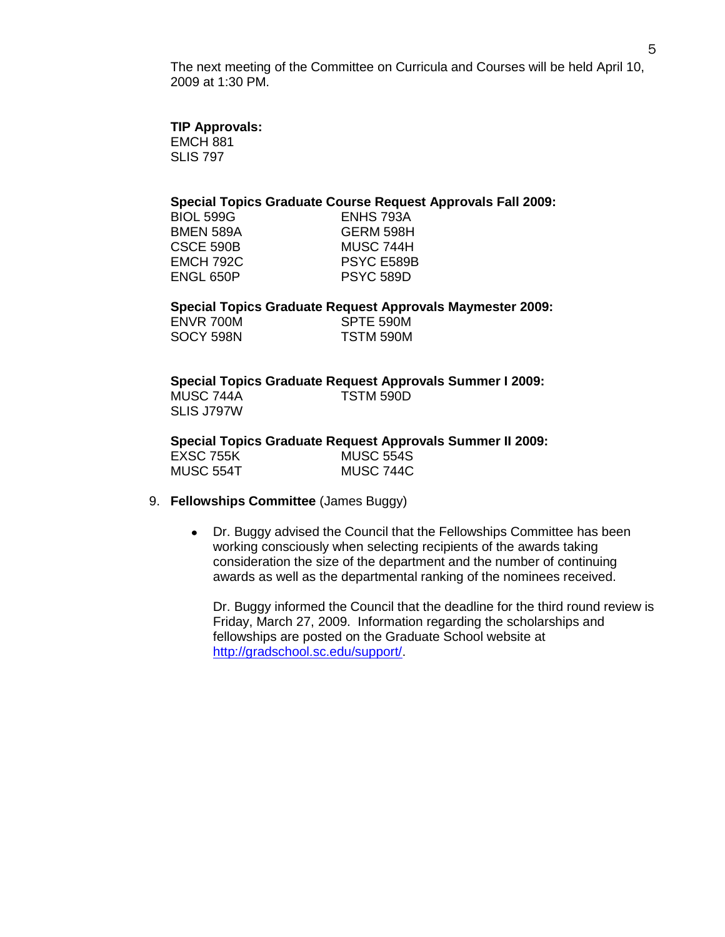The next meeting of the Committee on Curricula and Courses will be held April 10, 2009 at 1:30 PM.

## **TIP Approvals:**

EMCH 881 SLIS 797

## **Special Topics Graduate Course Request Approvals Fall 2009:**

| <b>BIOL 599G</b> | ENHS 793A        |
|------------------|------------------|
| <b>BMEN 589A</b> | GERM 598H        |
| CSCE 590B        | MUSC 744H        |
| <b>EMCH 792C</b> | PSYC E589B       |
| ENGL 650P        | <b>PSYC 589D</b> |
|                  |                  |

**Special Topics Graduate Request Approvals Maymester 2009:**

| ENVR 700M | SPTE 590M |
|-----------|-----------|
| SOCY 598N | TSTM 590M |

## **Special Topics Graduate Request Approvals Summer I 2009:**

MUSC 744A TSTM 590D SLIS J797W

**Special Topics Graduate Request Approvals Summer II 2009:**

| EXSC 755K | <b>MUSC 554S</b> |
|-----------|------------------|
| MUSC 554T | MUSC 744C        |

## 9. **Fellowships Committee** (James Buggy)

 $\bullet$ Dr. Buggy advised the Council that the Fellowships Committee has been working consciously when selecting recipients of the awards taking consideration the size of the department and the number of continuing awards as well as the departmental ranking of the nominees received.

Dr. Buggy informed the Council that the deadline for the third round review is Friday, March 27, 2009. Information regarding the scholarships and fellowships are posted on the Graduate School website at [http://gradschool.sc.edu/support/.](http://gradschool.sc.edu/support/)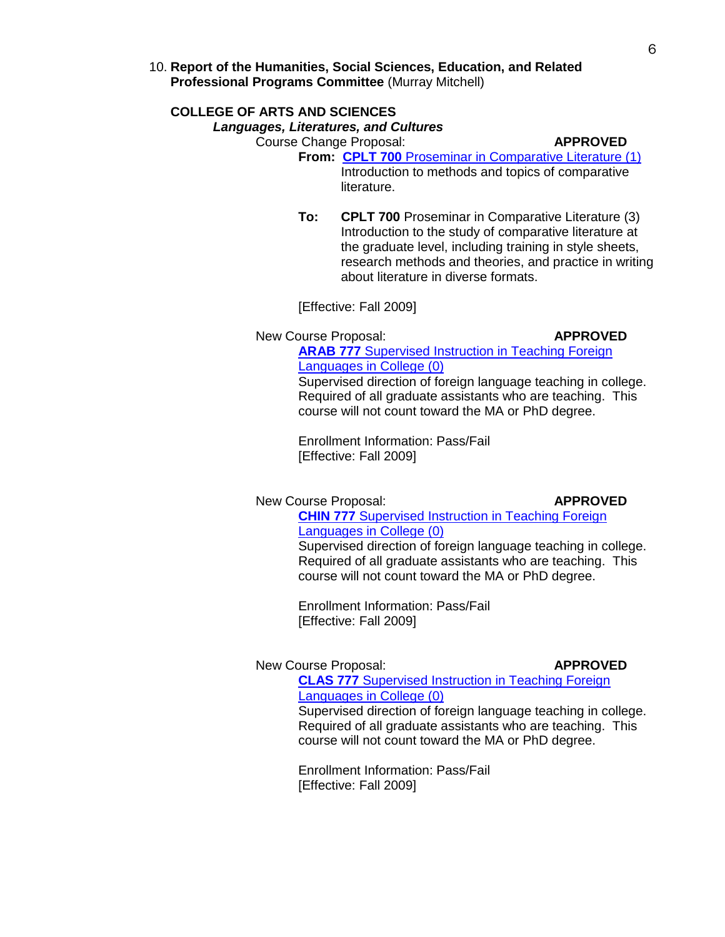10. **Report of the Humanities, Social Sciences, Education, and Related Professional Programs Committee** (Murray Mitchell)

## **COLLEGE OF ARTS AND SCIENCES**

## *Languages, Literatures, and Cultures*

Course Change Proposal: **APPROVED**

- **From: CPLT 700** [Proseminar in Comparative Literature \(1\)](http://gradschool.sc.edu/gradcouncil/curricula/CCP%20CPLT%20700.pdf) Introduction to methods and topics of comparative literature.
- **To: CPLT 700** Proseminar in Comparative Literature (3) Introduction to the study of comparative literature at the graduate level, including training in style sheets, research methods and theories, and practice in writing about literature in diverse formats.

[Effective: Fall 2009]

New Course Proposal: **APPROVED**

**ARAB 777** [Supervised Instruction in Teaching Foreign](http://gradschool.sc.edu/gradcouncil/curricula/NCP%20ARAB%20777.pdf)  [Languages in College](http://gradschool.sc.edu/gradcouncil/curricula/NCP%20ARAB%20777.pdf) (0)

Supervised direction of foreign language teaching in college. Required of all graduate assistants who are teaching. This course will not count toward the MA or PhD degree.

Enrollment Information: Pass/Fail [Effective: Fall 2009]

New Course Proposal: **APPROVED** 

**CHIN 777** [Supervised Instruction in Teaching Foreign](http://gradschool.sc.edu/gradcouncil/curricula/NCP%20CHIN%20777.pdf)  [Languages in College \(0\)](http://gradschool.sc.edu/gradcouncil/curricula/NCP%20CHIN%20777.pdf)

Supervised direction of foreign language teaching in college. Required of all graduate assistants who are teaching. This course will not count toward the MA or PhD degree.

Enrollment Information: Pass/Fail [Effective: Fall 2009]

### New Course Proposal: **APPROVED**

**CLAS 777** [Supervised Instruction in Teaching Foreign](http://gradschool.sc.edu/gradcouncil/curricula/NCP%20CLAS%20777.pdf)  [Languages in College \(0\)](http://gradschool.sc.edu/gradcouncil/curricula/NCP%20CLAS%20777.pdf) Supervised direction of foreign language teaching in college.

Required of all graduate assistants who are teaching. This course will not count toward the MA or PhD degree.

Enrollment Information: Pass/Fail [Effective: Fall 2009]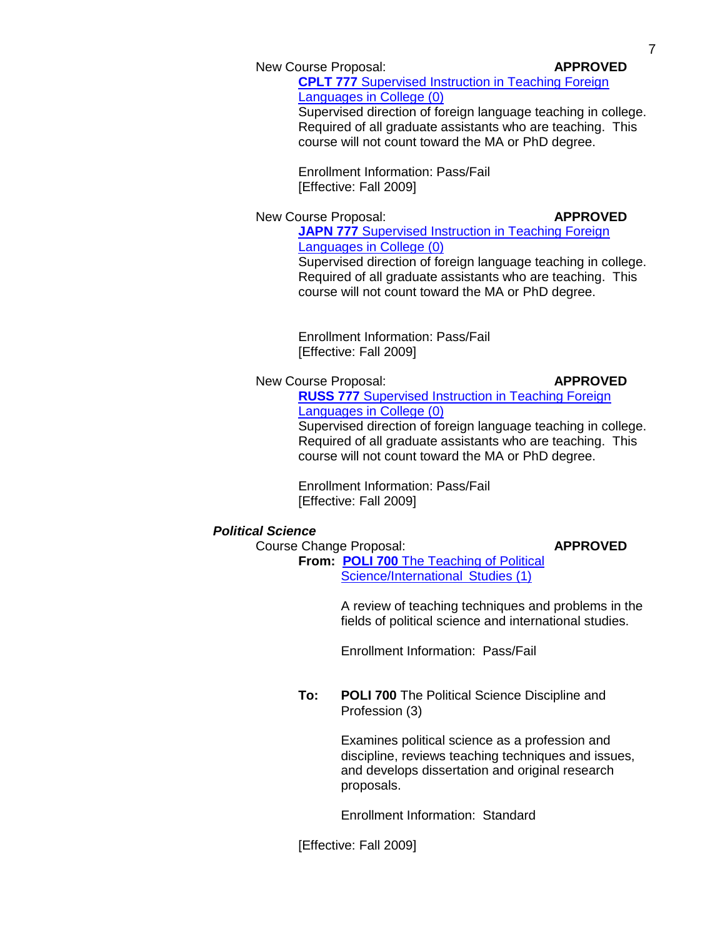New Course Proposal: **APPROVED**

**CPLT 777** [Supervised Instruction in Teaching Foreign](http://gradschool.sc.edu/gradcouncil/curricula/NCP%20CPLT%20777.pdf)  [Languages in College \(0\)](http://gradschool.sc.edu/gradcouncil/curricula/NCP%20CPLT%20777.pdf)

Supervised direction of foreign language teaching in college. Required of all graduate assistants who are teaching. This course will not count toward the MA or PhD degree.

Enrollment Information: Pass/Fail [Effective: Fall 2009]

New Course Proposal: **APPROVED** 

**JAPN 777 Supervised Instruction in Teaching Foreign** [Languages in College](http://gradschool.sc.edu/gradcouncil/curricula/NCP%20JAPN%20777.pdf) (0) Supervised direction of foreign language teaching in college.

Required of all graduate assistants who are teaching. This course will not count toward the MA or PhD degree.

Enrollment Information: Pass/Fail [Effective: Fall 2009]

New Course Proposal: **APPROVED**

**RUSS 777** [Supervised Instruction in Teaching Foreign](http://gradschool.sc.edu/gradcouncil/curricula/NCP%20RUSS%20777.pdf)  [Languages in College](http://gradschool.sc.edu/gradcouncil/curricula/NCP%20RUSS%20777.pdf) (0)

Supervised direction of foreign language teaching in college. Required of all graduate assistants who are teaching. This course will not count toward the MA or PhD degree.

Enrollment Information: Pass/Fail [Effective: Fall 2009]

## *Political Science*

## Course Change Proposal: **APPROVED**

**From: POLI 700** [The Teaching of Political](http://gradschool.sc.edu/gradcouncil/curricula/CCP%20POLI%20700.pdf)  [Science/International Studies \(1\)](http://gradschool.sc.edu/gradcouncil/curricula/CCP%20POLI%20700.pdf)

> A review of teaching techniques and problems in the fields of political science and international studies.

Enrollment Information: Pass/Fail

**To: POLI 700** The Political Science Discipline and Profession (3)

> Examines political science as a profession and discipline, reviews teaching techniques and issues, and develops dissertation and original research proposals.

Enrollment Information: Standard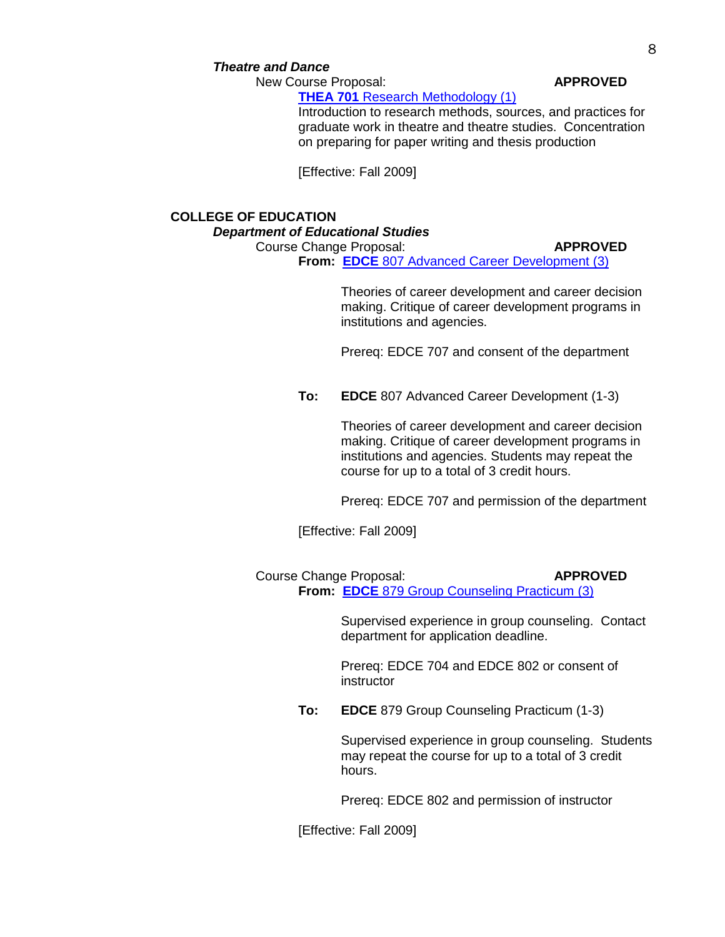## *Theatre and Dance*

New Course Proposal: **APPROVED** 

**THEA 701** [Research Methodology \(1\)](http://gradschool.sc.edu/gradcouncil/curricula/NCP%20THEA%20701.pdf)

Introduction to research methods, sources, and practices for graduate work in theatre and theatre studies. Concentration on preparing for paper writing and thesis production

[Effective: Fall 2009]

## **COLLEGE OF EDUCATION** *Department of Educational Studies*

### Course Change Proposal: **APPROVED**

**From: EDCE** [807 Advanced Career Development](http://gradschool.sc.edu/gradcouncil/curricula/CCP%20EDCE%20807.pdf) (3)

Theories of career development and career decision making. Critique of career development programs in institutions and agencies.

Prereq: EDCE 707 and consent of the department

**To: EDCE** 807 Advanced Career Development (1-3)

Theories of career development and career decision making. Critique of career development programs in institutions and agencies. Students may repeat the course for up to a total of 3 credit hours.

Prereq: EDCE 707 and permission of the department

[Effective: Fall 2009]

Course Change Proposal: **APPROVED From: EDCE** [879 Group Counseling Practicum](http://gradschool.sc.edu/gradcouncil/curricula/CCP%20EDCE%20879.pdf) (3)

> Supervised experience in group counseling. Contact department for application deadline.

Prereq: EDCE 704 and EDCE 802 or consent of instructor

**To: EDCE** 879 Group Counseling Practicum (1-3)

Supervised experience in group counseling. Students may repeat the course for up to a total of 3 credit hours.

Prereq: EDCE 802 and permission of instructor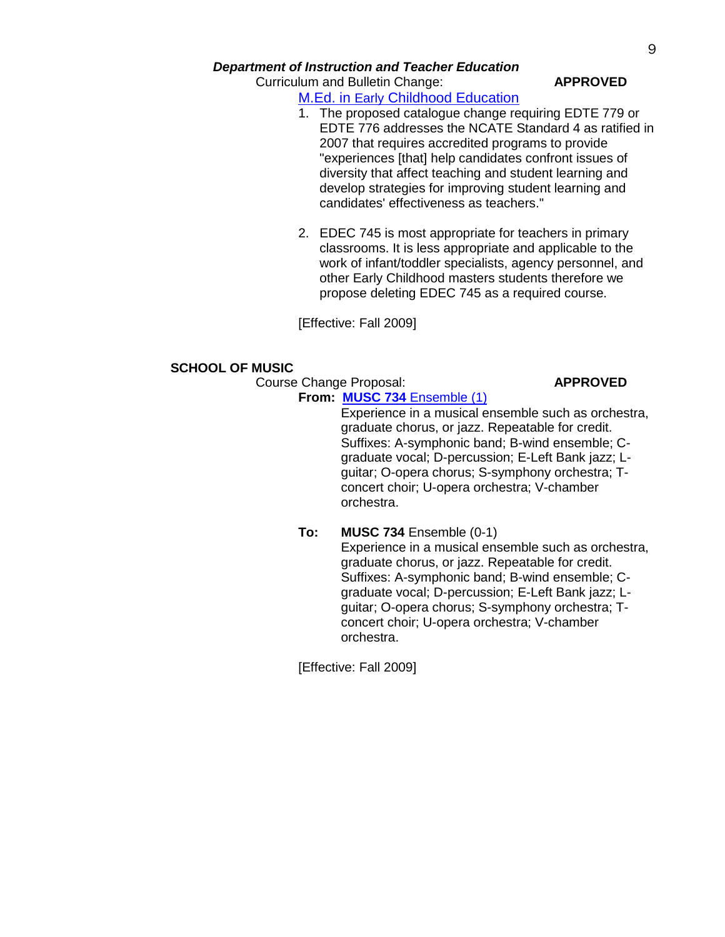## *Department of Instruction and Teacher Education*

# Curriculum and Bulletin Change: **APPROVED**

## M.Ed. in Early [Childhood Education](http://gradschool.sc.edu/gradcouncil/curricula/CBC%20Master)

- 1. The proposed catalogue change requiring EDTE 779 or EDTE 776 addresses the NCATE Standard 4 as ratified in 2007 that requires accredited programs to provide "experiences [that] help candidates confront issues of diversity that affect teaching and student learning and develop strategies for improving student learning and candidates' effectiveness as teachers."
- 2. EDEC 745 is most appropriate for teachers in primary classrooms. It is less appropriate and applicable to the work of infant/toddler specialists, agency personnel, and other Early Childhood masters students therefore we propose deleting EDEC 745 as a required course.

[Effective: Fall 2009]

## **SCHOOL OF MUSIC**

Course Change Proposal: **APPROVED**

## **From: MUSC 734** [Ensemble \(1\)](http://gradschool.sc.edu/gradcouncil/curricula/CCP%20MUSC%20734.pdf)

Experience in a musical ensemble such as orchestra, graduate chorus, or jazz. Repeatable for credit. Suffixes: A-symphonic band; B-wind ensemble; Cgraduate vocal; D-percussion; E-Left Bank jazz; Lguitar; O-opera chorus; S-symphony orchestra; Tconcert choir; U-opera orchestra; V-chamber orchestra.

## **To: MUSC 734 Ensemble (0-1)**

Experience in a musical ensemble such as orchestra, graduate chorus, or jazz. Repeatable for credit. Suffixes: A-symphonic band; B-wind ensemble; Cgraduate vocal; D-percussion; E-Left Bank jazz; Lguitar; O-opera chorus; S-symphony orchestra; Tconcert choir; U-opera orchestra; V-chamber orchestra.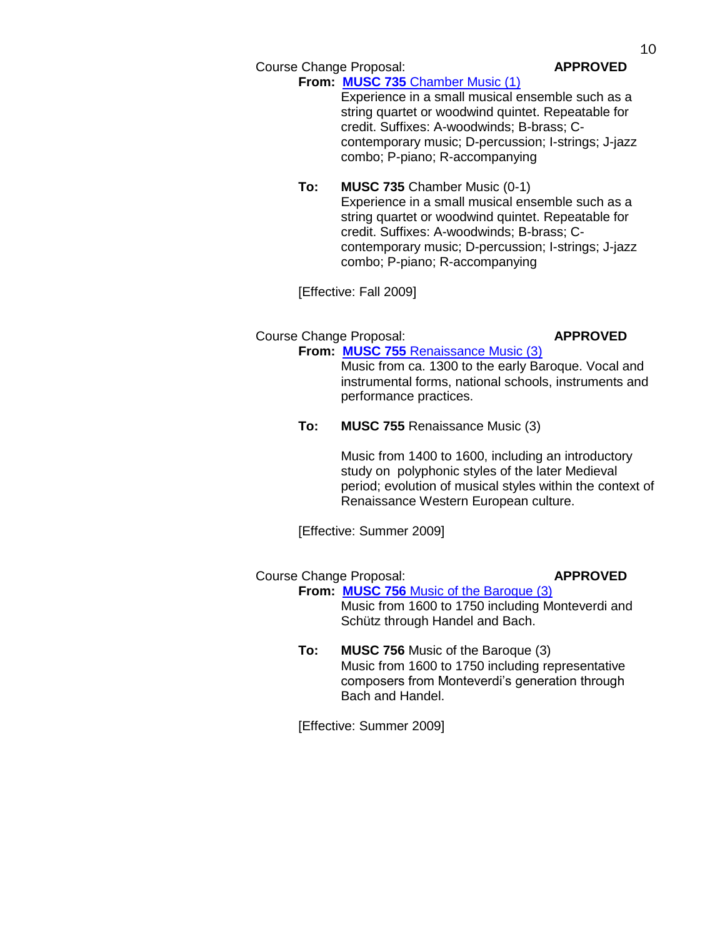Course Change Proposal: **APPROVED**

## **From: MUSC 735** [Chamber Music](http://gradschool.sc.edu/gradcouncil/curricula/CCP%20MUSC%20735.pdf) (1)

Experience in a small musical ensemble such as a string quartet or woodwind quintet. Repeatable for credit. Suffixes: A-woodwinds; B-brass; Ccontemporary music; D-percussion; I-strings; J-jazz combo; P-piano; R-accompanying

## **To: MUSC 735** Chamber Music (0-1) Experience in a small musical ensemble such as a string quartet or woodwind quintet. Repeatable for credit. Suffixes: A-woodwinds; B-brass; Ccontemporary music; D-percussion; I-strings; J-jazz combo; P-piano; R-accompanying

[Effective: Fall 2009]

## Course Change Proposal: **APPROVED**

**From: MUSC 755** [Renaissance Music](http://gradschool.sc.edu/gradcouncil/curricula/CCP%20MUSC%20755.pdf) (3) Music from ca. 1300 to the early Baroque. Vocal and instrumental forms, national schools, instruments and performance practices.

## **To: MUSC 755** Renaissance Music (3)

Music from 1400 to 1600, including an introductory study on polyphonic styles of the later Medieval period; evolution of musical styles within the context of Renaissance Western European culture.

[Effective: Summer 2009]

## Course Change Proposal: **APPROVED**

**From: MUSC 756** [Music of the Baroque](http://gradschool.sc.edu/gradcouncil/curricula/CCP%20MUSC%20756.pdf) (3) Music from 1600 to 1750 including Monteverdi and Schütz through Handel and Bach.

**To: MUSC 756** Music of the Baroque (3) Music from 1600 to 1750 including representative composers from Monteverdi's generation through Bach and Handel.

[Effective: Summer 2009]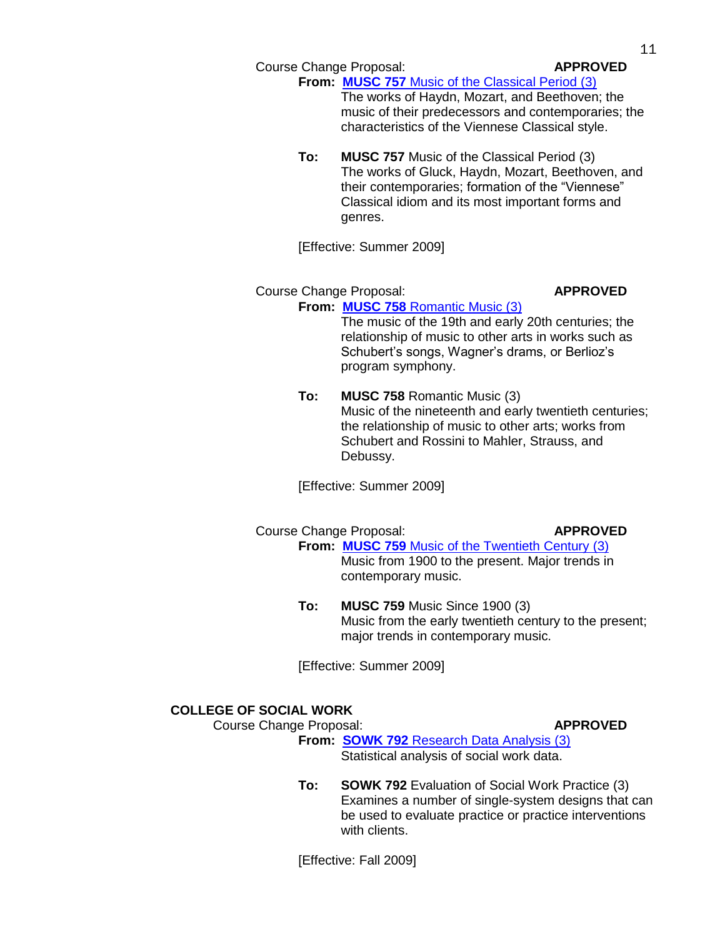Course Change Proposal: **APPROVED**

**From: MUSC 757** [Music of the Classical Period](http://gradschool.sc.edu/gradcouncil/curricula/CCP%20MUSC%20757.pdf) (3)

The works of Haydn, Mozart, and Beethoven; the music of their predecessors and contemporaries; the characteristics of the Viennese Classical style.

**To: MUSC 757** Music of the Classical Period (3) The works of Gluck, Haydn, Mozart, Beethoven, and their contemporaries; formation of the "Viennese" Classical idiom and its most important forms and genres.

[Effective: Summer 2009]

## Course Change Proposal: **APPROVED From: MUSC 758** [Romantic Music](http://gradschool.sc.edu/gradcouncil/curricula/CCP%20MUSC%20758.pdf) (3)

The music of the 19th and early 20th centuries; the relationship of music to other arts in works such as Schubert's songs, Wagner's drams, or Berlioz's program symphony.

**To: MUSC 758** Romantic Music (3) Music of the nineteenth and early twentieth centuries; the relationship of music to other arts; works from Schubert and Rossini to Mahler, Strauss, and Debussy.

[Effective: Summer 2009]

## Course Change Proposal: **APPROVED**

## **From: MUSC 759** [Music of the Twentieth Century](http://gradschool.sc.edu/gradcouncil/curricula/CCP%20MUSC%20759.pdf) (3)

Music from 1900 to the present. Major trends in contemporary music.

**To: MUSC 759** Music Since 1900 (3) Music from the early twentieth century to the present; major trends in contemporary music.

[Effective: Summer 2009]

## **COLLEGE OF SOCIAL WORK**

Course Change Proposal: **APPROVED** 

**From: SOWK 792** [Research Data Analysis \(3\)](http://gradschool.sc.edu/gradcouncil/curricula/CCP%20SOWK%20792.pdf)

Statistical analysis of social work data.

**To: SOWK 792** Evaluation of Social Work Practice (3) Examines a number of single-system designs that can be used to evaluate practice or practice interventions with clients.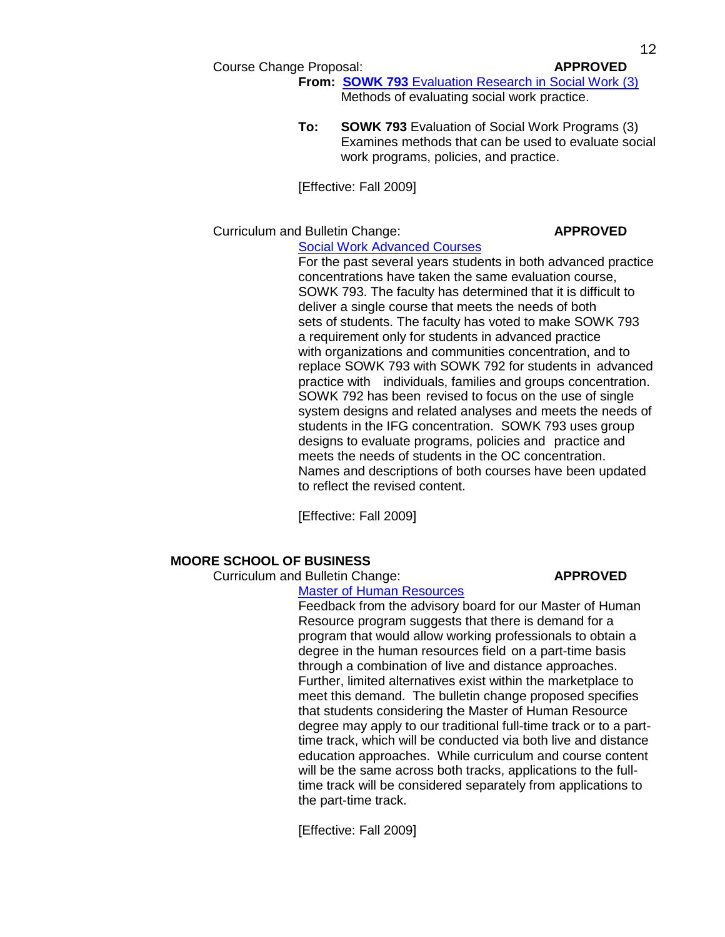### Course Change Proposal: **APPROVED**

**From: SOWK 793** [Evaluation Research in Social Work \(3\)](http://gradschool.sc.edu/gradcouncil/curricula/CCP%20SOWK%20793.pdf) Methods of evaluating social work practice.

**To: SOWK 793** Evaluation of Social Work Programs (3) Examines methods that can be used to evaluate social work programs, policies, and practice.

[Effective: Fall 2009]

## Curriculum and Bulletin Change: **APPROVED**

[Social Work Advanced Courses](http://gradschool.sc.edu/gradcouncil/curricula/CBC%20Advanced%20Courses%20for%20Social%20Work.pdf)

For the past several years students in both advanced practice concentrations have taken the same evaluation course, SOWK 793. The faculty has determined that it is difficult to deliver a single course that meets the needs of both sets of students. The faculty has voted to make SOWK 793 a requirement only for students in advanced practice with organizations and communities concentration, and to replace SOWK 793 with SOWK 792 for students in advanced practice with individuals, families and groups concentration. SOWK 792 has been revised to focus on the use of single system designs and related analyses and meets the needs of students in the IFG concentration. SOWK 793 uses group designs to evaluate programs, policies and practice and meets the needs of students in the OC concentration. Names and descriptions of both courses have been updated to reflect the revised content.

[Effective: Fall 2009]

## **MOORE SCHOOL OF BUSINESS**

Curriculum and Bulletin Change: **APPROVED**

### [Master of Human Resources](http://gradschool.sc.edu/gradcouncil/curricula/CBC%20Master%20of%20Human%20Resource%20Program.pdf)

Feedback from the advisory board for our Master of Human Resource program suggests that there is demand for a program that would allow working professionals to obtain a degree in the human resources field on a part-time basis through a combination of live and distance approaches. Further, limited alternatives exist within the marketplace to meet this demand. The bulletin change proposed specifies that students considering the Master of Human Resource degree may apply to our traditional full-time track or to a parttime track, which will be conducted via both live and distance education approaches. While curriculum and course content will be the same across both tracks, applications to the fulltime track will be considered separately from applications to the part-time track.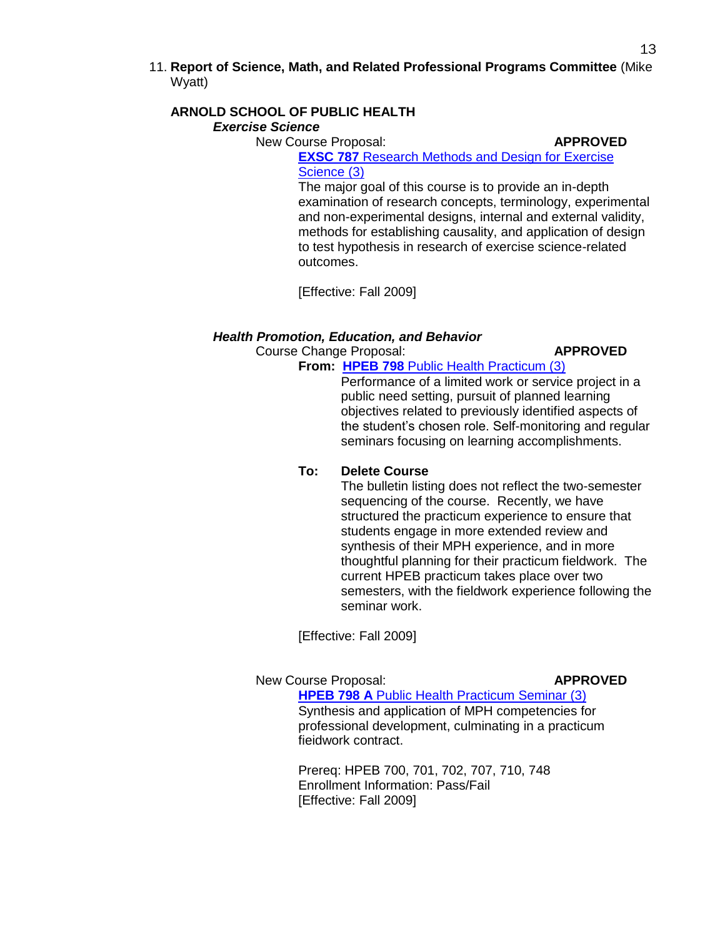11. **Report of Science, Math, and Related Professional Programs Committee** (Mike Wyatt)

## **ARNOLD SCHOOL OF PUBLIC HEALTH**

## *Exercise Science*

New Course Proposal: **APPROVED** 

**EXSC 787 Research Methods and Design for Exercise** [Science \(3\)](http://gradschool.sc.edu/gradcouncil/curricula/NCP%20EXSC%20787.pdf)

The major goal of this course is to provide an in-depth examination of research concepts, terminology, experimental and non-experimental designs, internal and external validity, methods for establishing causality, and application of design to test hypothesis in research of exercise science-related outcomes.

[Effective: Fall 2009]

## *Health Promotion, Education, and Behavior*

Course Change Proposal: **APPROVED**

## **From: HPEB 798** [Public Health Practicum \(3\)](http://gradschool.sc.edu/gradcouncil/curricula/CCP%20HPEB%20798A.pdf)

Performance of a limited work or service project in a public need setting, pursuit of planned learning objectives related to previously identified aspects of the student's chosen role. Self-monitoring and regular seminars focusing on learning accomplishments.

## **To: Delete Course**

The bulletin listing does not reflect the two-semester sequencing of the course. Recently, we have structured the practicum experience to ensure that students engage in more extended review and synthesis of their MPH experience, and in more thoughtful planning for their practicum fieldwork. The current HPEB practicum takes place over two semesters, with the fieldwork experience following the seminar work.

[Effective: Fall 2009]

## New Course Proposal: **APPROVED**

**HPEB 798 A** [Public Health Practicum Seminar \(3\)](http://gradschool.sc.edu/gradcouncil/curricula/NCP%20HPEB%20798A.pdf) Synthesis and application of MPH competencies for professional development, culminating in a practicum fieidwork contract.

Prereq: HPEB 700, 701, 702, 707, 710, 748 Enrollment Information: Pass/Fail [Effective: Fall 2009]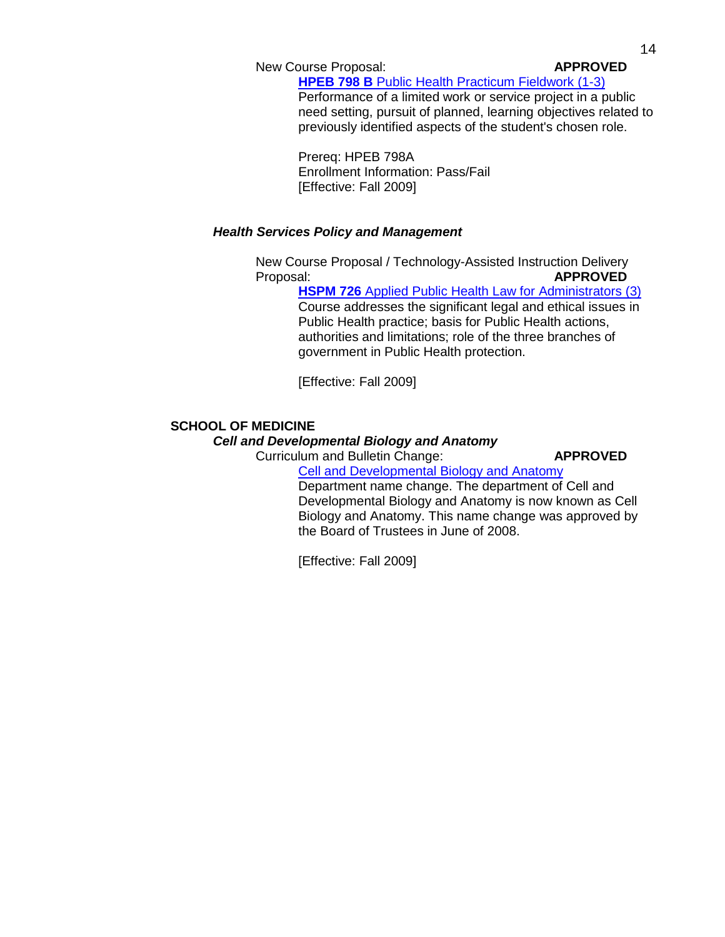New Course Proposal: **APPROVED**

**HPEB 798 B** [Public Health Practicum Fieldwork \(1-3\)](http://gradschool.sc.edu/gradcouncil/curricula/NCP%20HPEB%20798B.pdf)

Performance of a limited work or service project in a public need setting, pursuit of planned, learning objectives related to previously identified aspects of the student's chosen role.

Prereq: HPEB 798A Enrollment Information: Pass/Fail [Effective: Fall 2009]

## *Health Services Policy and Management*

New Course Proposal / Technology-Assisted Instruction Delivery Proposal: **APPROVED**

**HSPM 726** [Applied Public Health Law for Administrators \(3\)](http://gradschool.sc.edu/gradcouncil/curricula/NCP%20HSPM%20726.pdf) Course addresses the significant legal and ethical issues in Public Health practice; basis for Public Health actions, authorities and limitations; role of the three branches of government in Public Health protection.

[Effective: Fall 2009]

## **SCHOOL OF MEDICINE**

## *Cell and Developmental Biology and Anatomy*

Curriculum and Bulletin Change: **APPROVED**

[Cell and Developmental Biology and Anatomy](http://gradschool.sc.edu/gradcouncil/curricula/CBC%20Cell%20and%20Developmental%20Biology%20and%20Anatomy.pdf) Department name change. The department of Cell and Developmental Biology and Anatomy is now known as Cell Biology and Anatomy. This name change was approved by the Board of Trustees in June of 2008.